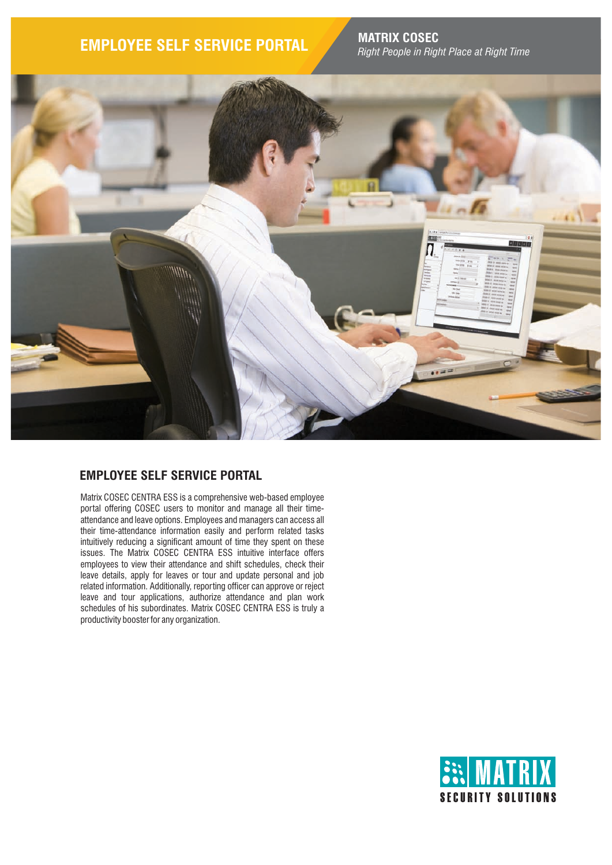# **EMPLOYEE SELF SERVICE PORTAL MATRIX COSEC**

*Right People in Right Place at Right Time*



## **EMPLOYEE SELF SERVICE PORTAL**

Matrix COSEC CENTRA ESS is a comprehensive web-based employee portal offering COSEC users to monitor and manage all their timeattendance and leave options. Employees and managers can access all their time-attendance information easily and perform related tasks intuitively reducing a significant amount of time they spent on these issues. The Matrix COSEC CENTRA ESS intuitive interface offers employees to view their attendance and shift schedules, check their leave details, apply for leaves or tour and update personal and job related information. Additionally, reporting officer can approve or reject leave and tour applications, authorize attendance and plan work schedules of his subordinates. Matrix COSEC CENTRA ESS is truly a productivity booster for any organization.

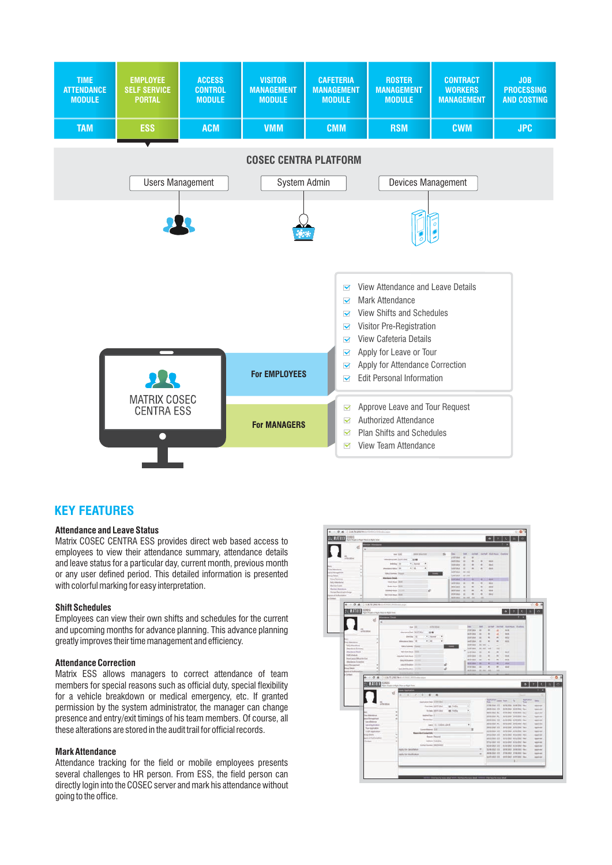

### **KEY FEATURES**

### **Attendance and Leave Status**

Matrix COSEC CENTRA ESS provides direct web based access to employees to view their attendance summary, attendance details and leave status for a particular day, current month, previous month or any user defined period. This detailed information is presented with colorful marking for easy interpretation.

#### **Shift Schedules**

Employees can view their own shifts and schedules for the current and upcoming months for advance planning. This advance planning greatly improves their time management and efficiency.

#### **Attendance Correction**

Matrix ESS allows managers to correct attendance of team members for special reasons such as official duty, special flexibility for a vehicle breakdown or medical emergency, etc. If granted permission by the system administrator, the manager can change presence and entry/exit timings of his team members. Of course, all these alterations are stored in the audit trail for official records.

### **Mark Attendance**

Attendance tracking for the field or mobile employees presents several challenges to HR person. From ESS, the field person can directly login into the COSEC server and mark his attendance without going to the office.

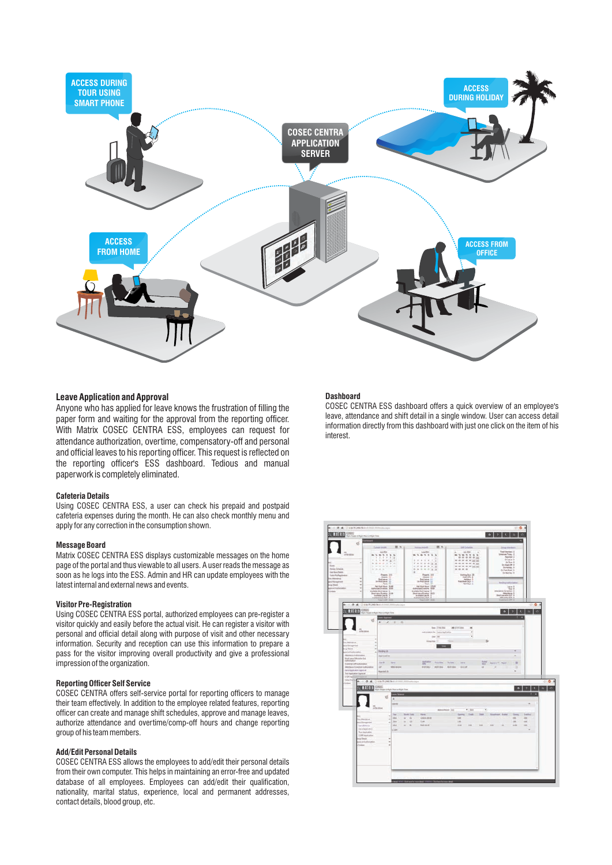

#### **Leave Application and Approval**

Anyone who has applied for leave knows the frustration of filling the paper form and waiting for the approval from the reporting officer. With Matrix COSEC CENTRA ESS, employees can request for attendance authorization, overtime, compensatory-off and personal and official leaves to his reporting officer. This request is reflected on the reporting officer's ESS dashboard. Tedious and manual paperwork is completely eliminated.

#### **Cafeteria Details**

Using COSEC CENTRA ESS, a user can check his prepaid and postpaid cafeteria expenses during the month. He can also check monthly menu and apply for any correction in the consumption shown.

#### **Message Board**

Matrix COSEC CENTRA ESS displays customizable messages on the home page of the portal and thus viewable to all users. A user reads the message as soon as he logs into the ESS. Admin and HR can update employees with the latest internal and external news and events.

#### **Visitor Pre-Registration**

Using COSEC CENTRA ESS portal, authorized employees can pre-register a visitor quickly and easily before the actual visit. He can register a visitor with personal and official detail along with purpose of visit and other necessary information. Security and reception can use this information to prepare a pass for the visitor improving overall productivity and give a professional impression of the organization.

#### **Reporting Officer Self Service**

COSEC CENTRA offers self-service portal for reporting officers to manage their team effectively. In addition to the employee related features, reporting officer can create and manage shift schedules, approve and manage leaves, authorize attendance and overtime/comp-off hours and change reporting group of his team members.

#### **Add/Edit Personal Details**

COSEC CENTRA ESS allows the employees to add/edit their personal details from their own computer. This helps in maintaining an error-free and updated database of all employees. Employees can add/edit their qualification, nationality, marital status, experience, local and permanent addresses, contact details, blood group, etc.

### **Dashboard**

COSEC CENTRA ESS dashboard offers a quick overview of an employee's leave, attendance and shift detail in a single window. User can access detail information directly from this dashboard with just one click on the item of his interest.